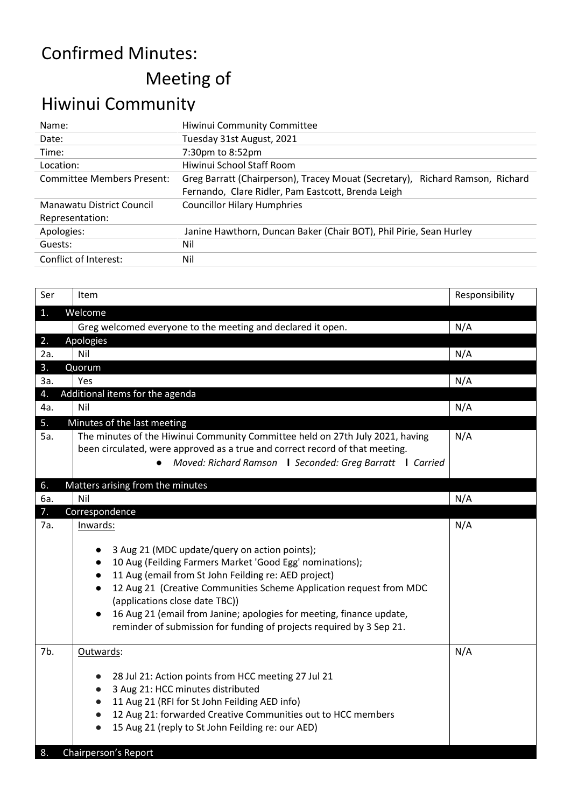## Confirmed Minutes: Meeting of

## Hiwinui Community

| Name:                             | Hiwinui Community Committee                                                      |
|-----------------------------------|----------------------------------------------------------------------------------|
| Date:                             | Tuesday 31st August, 2021                                                        |
| Time:                             | 7:30pm to 8:52pm                                                                 |
| Location:                         | Hiwinui School Staff Room                                                        |
| <b>Committee Members Present:</b> | Greg Barratt (Chairperson), Tracey Mouat (Secretary),<br>Richard Ramson, Richard |
|                                   | Fernando, Clare Ridler, Pam Eastcott, Brenda Leigh                               |
| Manawatu District Council         | <b>Councillor Hilary Humphries</b>                                               |
| Representation:                   |                                                                                  |
| Apologies:                        | Janine Hawthorn, Duncan Baker (Chair BOT), Phil Pirie, Sean Hurley               |
| Guests:                           | Nil                                                                              |
| Conflict of Interest:             | Nil                                                                              |
|                                   |                                                                                  |

| Ser<br>1.<br>2.<br>2a.<br>3.<br>За.<br>4. | Item<br>Welcome<br>Greg welcomed everyone to the meeting and declared it open.<br>Apologies<br>Nil<br>Quorum<br>Yes<br>Additional items for the agenda<br>Nil<br>Minutes of the last meeting                                                                                                                                                                                                                                           | Responsibility<br>N/A<br>N/A<br>N/A<br>N/A |
|-------------------------------------------|----------------------------------------------------------------------------------------------------------------------------------------------------------------------------------------------------------------------------------------------------------------------------------------------------------------------------------------------------------------------------------------------------------------------------------------|--------------------------------------------|
|                                           |                                                                                                                                                                                                                                                                                                                                                                                                                                        |                                            |
|                                           |                                                                                                                                                                                                                                                                                                                                                                                                                                        |                                            |
|                                           |                                                                                                                                                                                                                                                                                                                                                                                                                                        |                                            |
|                                           |                                                                                                                                                                                                                                                                                                                                                                                                                                        |                                            |
|                                           |                                                                                                                                                                                                                                                                                                                                                                                                                                        |                                            |
|                                           |                                                                                                                                                                                                                                                                                                                                                                                                                                        |                                            |
|                                           |                                                                                                                                                                                                                                                                                                                                                                                                                                        |                                            |
|                                           |                                                                                                                                                                                                                                                                                                                                                                                                                                        |                                            |
| 4a.                                       |                                                                                                                                                                                                                                                                                                                                                                                                                                        |                                            |
| 5.<br>5а.                                 | The minutes of the Hiwinui Community Committee held on 27th July 2021, having<br>been circulated, were approved as a true and correct record of that meeting.<br>Moved: Richard Ramson   Seconded: Greg Barratt   Carried                                                                                                                                                                                                              | N/A                                        |
| 6.                                        | Matters arising from the minutes                                                                                                                                                                                                                                                                                                                                                                                                       |                                            |
| 6a.                                       | Nil                                                                                                                                                                                                                                                                                                                                                                                                                                    | N/A                                        |
| 7.                                        | Correspondence                                                                                                                                                                                                                                                                                                                                                                                                                         |                                            |
| 7а.                                       | Inwards:<br>3 Aug 21 (MDC update/query on action points);<br>10 Aug (Feilding Farmers Market 'Good Egg' nominations);<br>11 Aug (email from St John Feilding re: AED project)<br>12 Aug 21 (Creative Communities Scheme Application request from MDC<br>(applications close date TBC))<br>16 Aug 21 (email from Janine; apologies for meeting, finance update,<br>reminder of submission for funding of projects required by 3 Sep 21. | N/A                                        |
| 7b.<br>8.                                 | Outwards:<br>28 Jul 21: Action points from HCC meeting 27 Jul 21<br>$\bullet$<br>3 Aug 21: HCC minutes distributed<br>$\bullet$<br>11 Aug 21 (RFI for St John Feilding AED info)<br>$\bullet$<br>12 Aug 21: forwarded Creative Communities out to HCC members<br>$\bullet$<br>15 Aug 21 (reply to St John Feilding re: our AED)<br>$\bullet$<br>Chairperson's Report                                                                   | N/A                                        |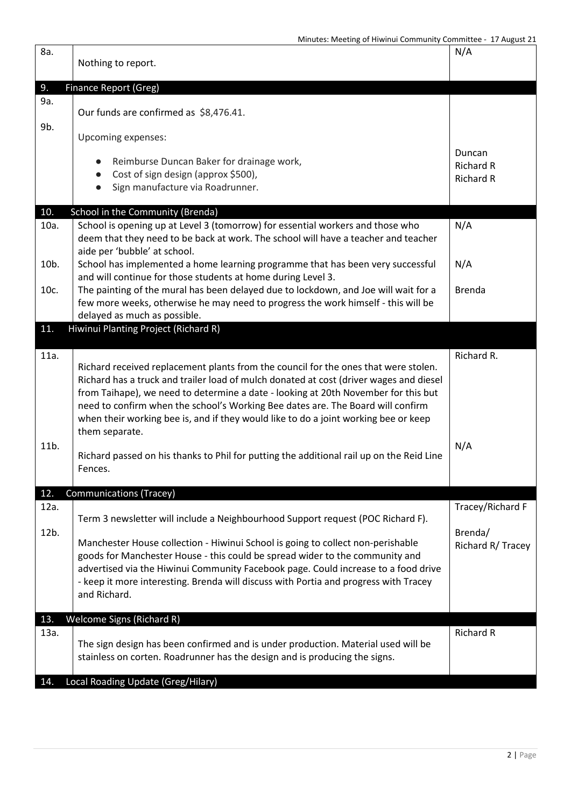| 8a.          | Nothing to report.                                                                                                                                                                                                                                                                                                                                                                                                                                              | N/A                                              |
|--------------|-----------------------------------------------------------------------------------------------------------------------------------------------------------------------------------------------------------------------------------------------------------------------------------------------------------------------------------------------------------------------------------------------------------------------------------------------------------------|--------------------------------------------------|
| 9.           | Finance Report (Greg)                                                                                                                                                                                                                                                                                                                                                                                                                                           |                                                  |
| 9a.<br>9b.   | Our funds are confirmed as \$8,476.41.                                                                                                                                                                                                                                                                                                                                                                                                                          |                                                  |
|              | Upcoming expenses:                                                                                                                                                                                                                                                                                                                                                                                                                                              |                                                  |
|              | Reimburse Duncan Baker for drainage work,<br>Cost of sign design (approx \$500),<br>$\bullet$<br>Sign manufacture via Roadrunner.<br>$\bullet$                                                                                                                                                                                                                                                                                                                  | Duncan<br><b>Richard R</b><br><b>Richard R</b>   |
| 10.          | School in the Community (Brenda)                                                                                                                                                                                                                                                                                                                                                                                                                                |                                                  |
| 10a.         | School is opening up at Level 3 (tomorrow) for essential workers and those who<br>deem that they need to be back at work. The school will have a teacher and teacher<br>aide per 'bubble' at school.                                                                                                                                                                                                                                                            | N/A                                              |
| 10b.         | School has implemented a home learning programme that has been very successful<br>and will continue for those students at home during Level 3.                                                                                                                                                                                                                                                                                                                  | N/A                                              |
| 10c.         | The painting of the mural has been delayed due to lockdown, and Joe will wait for a<br>few more weeks, otherwise he may need to progress the work himself - this will be<br>delayed as much as possible.                                                                                                                                                                                                                                                        | <b>Brenda</b>                                    |
| 11.          | Hiwinui Planting Project (Richard R)                                                                                                                                                                                                                                                                                                                                                                                                                            |                                                  |
|              |                                                                                                                                                                                                                                                                                                                                                                                                                                                                 |                                                  |
| 11a.         | Richard received replacement plants from the council for the ones that were stolen.<br>Richard has a truck and trailer load of mulch donated at cost (driver wages and diesel<br>from Taihape), we need to determine a date - looking at 20th November for this but<br>need to confirm when the school's Working Bee dates are. The Board will confirm<br>when their working bee is, and if they would like to do a joint working bee or keep<br>them separate. | Richard R.                                       |
| 11b.         | Richard passed on his thanks to Phil for putting the additional rail up on the Reid Line<br>Fences.                                                                                                                                                                                                                                                                                                                                                             | N/A                                              |
| 12.          | <b>Communications (Tracey)</b>                                                                                                                                                                                                                                                                                                                                                                                                                                  |                                                  |
| 12a.<br>12b. | Term 3 newsletter will include a Neighbourhood Support request (POC Richard F).<br>Manchester House collection - Hiwinui School is going to collect non-perishable<br>goods for Manchester House - this could be spread wider to the community and<br>advertised via the Hiwinui Community Facebook page. Could increase to a food drive<br>- keep it more interesting. Brenda will discuss with Portia and progress with Tracey<br>and Richard.                | Tracey/Richard F<br>Brenda/<br>Richard R/ Tracey |
|              |                                                                                                                                                                                                                                                                                                                                                                                                                                                                 |                                                  |
| 13.          | Welcome Signs (Richard R)                                                                                                                                                                                                                                                                                                                                                                                                                                       | <b>Richard R</b>                                 |
| 13a.         | The sign design has been confirmed and is under production. Material used will be<br>stainless on corten. Roadrunner has the design and is producing the signs.                                                                                                                                                                                                                                                                                                 |                                                  |
| 14.          | Local Roading Update (Greg/Hilary)                                                                                                                                                                                                                                                                                                                                                                                                                              |                                                  |